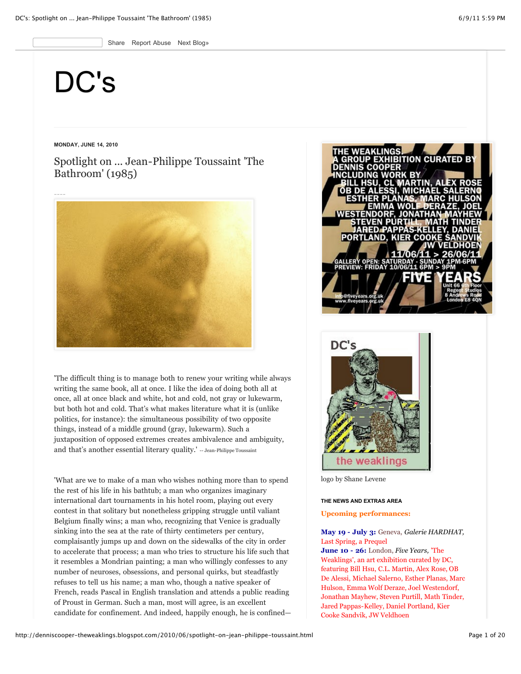Share Report Abuse [Next Blog»](http://www.blogger.com/next-blog?navBar=true&blogID=6967248046899755022)

# [DC's](http://denniscooper-theweaklings.blogspot.com/)

# **MONDAY, JUNE 14, 2010**

Spotlight on ... Jean-Philippe Toussaint 'The Bathroom' (1985)



'The difficult thing is to manage both to renew your writing while always writing the same book, all at once. I like the idea of doing both all at once, all at once black and white, hot and cold, not gray or lukewarm, but both hot and cold. That's what makes literature what it is (unlike politics, for instance): the simultaneous possibility of two opposite things, instead of a middle ground (gray, lukewarm). Such a juxtaposition of opposed extremes creates ambivalence and ambiguity, and that's another essential literary quality.' -- Jean-Philippe Toussaint

'What are we to make of a man who wishes nothing more than to spend the rest of his life in his bathtub; a man who organizes imaginary international dart tournaments in his hotel room, playing out every contest in that solitary but nonetheless gripping struggle until valiant Belgium finally wins; a man who, recognizing that Venice is gradually sinking into the sea at the rate of thirty centimeters per century, complaisantly jumps up and down on the sidewalks of the city in order to accelerate that process; a man who tries to structure his life such that it resembles a Mondrian painting; a man who willingly confesses to any number of neuroses, obsessions, and personal quirks, but steadfastly refuses to tell us his name; a man who, though a native speaker of French, reads Pascal in English translation and attends a public reading of Proust in German. Such a man, most will agree, is an excellent candidate for confinement. And indeed, happily enough, he is confined—





logo by Shane Levene

# **THE NEWS AND EXTRAS AREA**

# **Upcoming performances:**

# **May 19 - July 3:** Geneva, *Galerie HARDHAT,* Last Spring, a Prequel

**June 10 - 26:** London, *Five Years,* 'The Weaklings', an art exhibition curated by DC, featuring Bill Hsu, C.L. Martin, Alex Rose, OB De Alessi, Michael Salerno, Esther Planas, Marc Hulson, Emma Wolf Deraze, Joel Westendorf, Jonathan Mayhew, Steven Purtill, Math Tinder, Jared Pappas-Kelley, Daniel Portland, Kier Cooke Sandvik, JW Veldhoen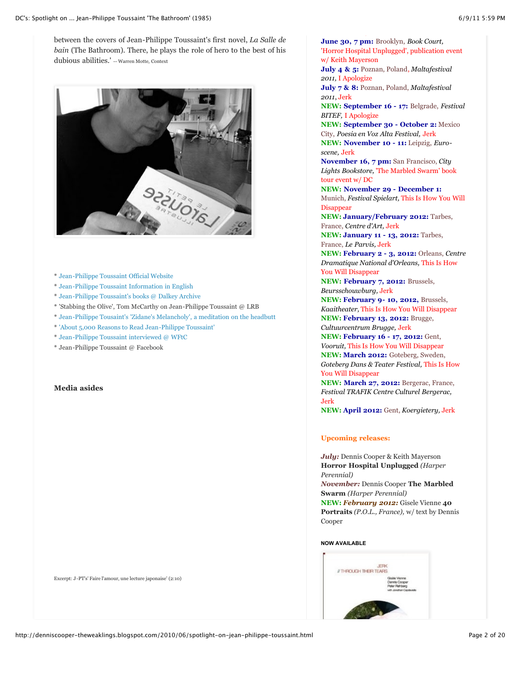between the covers of Jean-Philippe Toussaint's first novel, *La Salle de bain* (The Bathroom). There, he plays the role of hero to the best of his dubious abilities.' -- Warren Motte, Context



- \* [Jean-Philippe Toussaint Official Website](http://www.jean-philippe-toussaint.de/)
- \* [Jean-Philippe Toussaint Information in English](http://www.jptoussaint.com/etats-unis.html)
- \* [Jean-Philippe Toussaint's books @ Dalkey Archive](http://www.dalkeyarchive.com/author/?fa=ShowAuthor&Person_ID=1413)
- \* ['Stabbing the Olive', Tom McCarthy on Jean-Philippe Toussaint @ LRB](http://www.lrb.co.uk/v32/n03/tom-mccarthy/stabbing-the-olive)
- \* [Jean-Philippe Tousaint's 'Zidane's Melancholy', a meditation on the headbutt](http://books.google.fr/books?id=Gd528cEhJ8cC&pg=PA34&lpg=PA34&dq=%22Jean-Philippe+Toussaint%22+%22zidane)
- \* ['About 5,000 Reasons to Read Jean-Philippe Toussaint'](http://conversationalreading.com/about-5000-reasons-to-read-jean-philippe-toussaint)
- \* [Jean-Philippe Toussaint interviewed @ WFtC](http://whenfallsthecoliseum.com/2010/04/19/an-interview-with-jean-philippe-toussaint/)
- \* [Jean-Philippe Toussaint @ Facebook](http://www.facebook.com/pages/Jean-Philippe-Toussaint/61435322836)

# **Media asides**

Excerpt: J-PT's' Faire l'amour, une lecture japonaise' (2:10)

**June 30, 7 pm:** Brooklyn, *Book Court,* 'Horror Hospital Unplugged', publication event w/ Keith Mayerson

**July 4 & 5:** Poznan, Poland, *Maltafestival 2011,* I Apologize

Cooke Sandvik, JW Veldhoen

**July 7 & 8:** Poznan, Poland, *Maltafestival 2011*, Jerk

**NEW: September 16 - 17:** Belgrade, *Festival BITEF,* I Apologize

**NEW: September 30 - October 2:** Mexico City, *Poesia en Voz Alta Festival,* Jerk

**NEW: November 10 - 11:** Leipzig, *Euroscene,* Jerk

**November 16, 7 pm:** San Francisco, *City Lights Bookstore,* 'The Marbled Swarm' book tour event w/ DC

**NEW: November 29 - December 1:** Munich, *Festival Spielart,* This Is How You Will **Disappear** 

**NEW: January/February 2012:** Tarbes, France, *Centre d'Art,* Jerk

**NEW: January 11 - 13, 2012:** Tarbes, France, *Le Parvis,* Jerk

**NEW: February 2 - 3, 2012:** Orleans, *Centre Dramatique National d'Orleans,* This Is How You Will Disappear

**NEW: February 7, 2012:** Brussels, *Beursschouwburg,* Jerk

**NEW: February 9- 10, 2012,** Brussels, *Kaaitheater,* This Is How You Will Disappear **NEW: February 13, 2012:** Brugge,

*Cultuurcentrum Brugge,* Jerk **NEW: February 16 - 17, 2012:** Gent,

*Vooruit,* This Is How You Will Disappear **NEW: March 2012:** Goteberg, Sweden, *Goteberg Dans & Teater Festival,* This Is How

You Will Disappear **NEW: March 27, 2012:** Bergerac, France,

*Festival TRAFIK Centre Culturel Bergerac,* Jerk

**NEW: April 2012:** Gent, *Koergietery,* Jerk

# **Upcoming releases:**

*July:* Dennis Cooper & Keith Mayerson **Horror Hospital Unplugged** *(Harper Perennial)*

*November:* Dennis Cooper **The Marbled Swarm** *(Harper Perennial)*

**NEW:** *February 2012:* Gisele Vienne **40 Portraits** *(P.O.L., France),* w/ text by Dennis Cooper

# **NOW AVAILABLE**

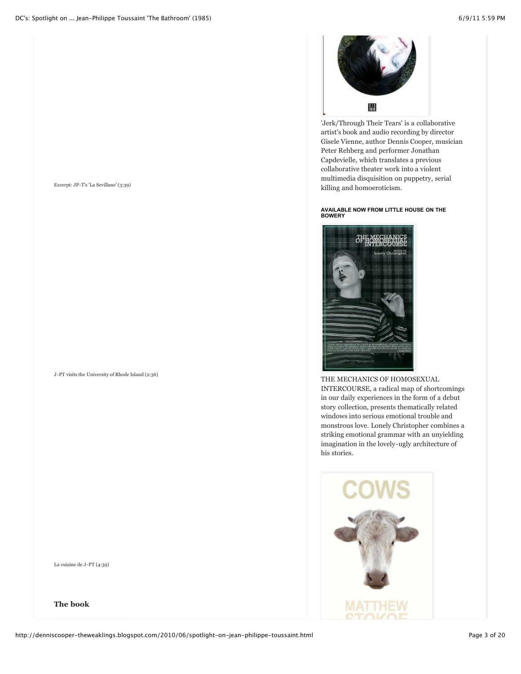

J-PT visits the University of Rhode Island (2:36)

La cuisine de J-PT (4:39)

**The book**



'Jerk/Through Their Tears' is a collaborative artist's book and audio recording by director Gisele Vienne, author Dennis Cooper, musician Peter Rehberg and performer Jonathan Capdevielle, which translates a previous collaborative theater work into a violent multimedia disquisition on puppetry, serial killing and homoeroticism.

# **AVAILABLE NOW FROM LITTLE HOUSE ON THE BOWERY**



THE MECHANICS OF HOMOSEXUAL INTERCOURSE, a radical map of shortcomings in our daily experiences in the form of a debut story collection, presents thematically related windows into serious emotional trouble and monstrous love. Lonely Christopher combines a striking emotional grammar with an unyielding imagination in the lovely-ugly architecture of his stories.

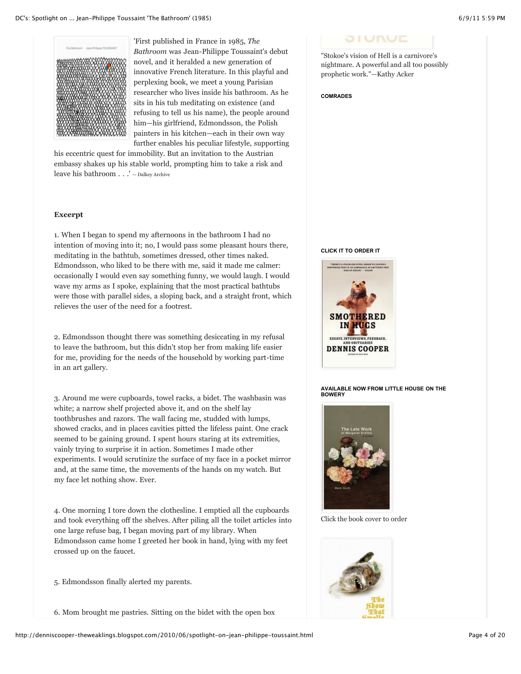

'First published in France in 1985, *The Bathroom* was Jean-Philippe Toussaint's debut novel, and it heralded a new generation of innovative French literature. In this playful and perplexing book, we meet a young Parisian researcher who lives inside his bathroom. As he sits in his tub meditating on existence (and refusing to tell us his name), the people around him—his girlfriend, Edmondsson, the Polish painters in his kitchen—each in their own way further enables his peculiar lifestyle, supporting

his eccentric quest for immobility. But an invitation to the Austrian embassy shakes up his stable world, prompting him to take a risk and leave his bathroom . . .' -- Dalkey Archive

# **Excerpt**

1. When I began to spend my afternoons in the bathroom I had no intention of moving into it; no, I would pass some pleasant hours there, meditating in the bathtub, sometimes dressed, other times naked. Edmondsson, who liked to be there with me, said it made me calmer: occasionally I would even say something funny, we would laugh. I would wave my arms as I spoke, explaining that the most practical bathtubs were those with parallel sides, a sloping back, and a straight front, which relieves the user of the need for a footrest.

2. Edmondsson thought there was something desiccating in my refusal to leave the bathroom, but this didn't stop her from making life easier for me, providing for the needs of the household by working part-time in an art gallery.

3. Around me were cupboards, towel racks, a bidet. The washbasin was white; a narrow shelf projected above it, and on the shelf lay toothbrushes and razors. The wall facing me, studded with lumps, showed cracks, and in places cavities pitted the lifeless paint. One crack seemed to be gaining ground. I spent hours staring at its extremities, vainly trying to surprise it in action. Sometimes I made other experiments. I would scrutinize the surface of my face in a pocket mirror and, at the same time, the movements of the hands on my watch. But my face let nothing show. Ever.

4. One morning I tore down the clothesline. I emptied all the cupboards and took everything off the shelves. After piling all the toilet articles into one large refuse bag, I began moving part of my library. When Edmondsson came home I greeted her book in hand, lying with my feet crossed up on the faucet.

5. Edmondsson finally alerted my parents.

6. Mom brought me pastries. Sitting on the bidet with the open box

# **JI UNUE**

"Stokoe's vision of Hell is a carnivore's nightmare. A powerful and all too possibly prophetic work."—Kathy Acker

**COMRADES**

#### **CLICK IT TO ORDER IT**



**AVAILABLE NOW FROM LITTLE HOUSE ON THE BOWERY**



Click the book cover to order

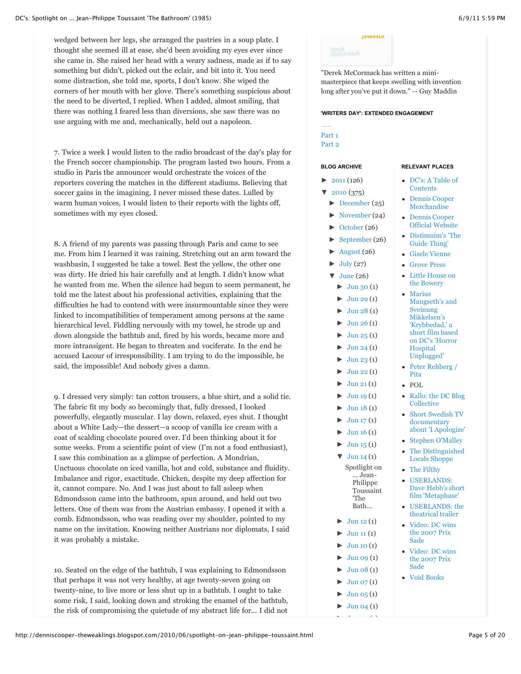wedged between her legs, she arranged the pastries in a soup plate. I thought she seemed ill at ease, she'd been avoiding my eyes ever since she came in. She raised her head with a weary sadness, made as if to say something but didn't, picked out the eclair, and bit into it. You need some distraction, she told me, sports, I don't know. She wiped the corners of her mouth with her glove. There's something suspicious about the need to be diverted, I replied. When I added, almost smiling, that there was nothing I feared less than diversions, she saw there was no use arguing with me and, mechanically, held out a napoleon.

7. Twice a week I would listen to the radio broadcast of the day's play for the French soccer championship. The program lasted two hours. From a studio in Paris the announcer would orchestrate the voices of the reporters covering the matches in the different stadiums. Believing that soccer gains in the imagining, I never missed these dates. Lulled by warm human voices, I would listen to their reports with the lights off, sometimes with my eyes closed.

8. A friend of my parents was passing through Paris and came to see me. From him I learned it was raining. Stretching out an arm toward the washbasin, I suggested he take a towel. Best the yellow, the other one was dirty. He dried his hair carefully and at length. I didn't know what he wanted from me. When the silence had begun to seem permanent, he told me the latest about his professional activities, explaining that the difficulties he had to contend with were insurmountable since they were linked to incompatibilities of temperament among persons at the same hierarchical level. Fiddling nervously with my towel, he strode up and down alongside the bathtub and, fired by his words, became more and more intransigent. He began to threaten and vociferate. In the end he accused Lacour of irresponsibility. I am trying to do the impossible, he said, the impossible! And nobody gives a damn.

9. I dressed very simply: tan cotton trousers, a blue shirt, and a solid tie. The fabric fit my body so becomingly that, fully dressed, I looked powerfully, elegantly muscular. I lay down, relaxed, eyes shut. I thought about a White Lady—the dessert—a scoop of vanilla ice cream with a coat of scalding chocolate poured over. I'd been thinking about it for some weeks. From a scientific point of view (I'm not a food enthusiast), I saw this combination as a glimpse of perfection. A Mondrian, Unctuous chocolate on iced vanilla, hot and cold, substance and fluidity. Imbalance and rigor, exactitude. Chicken, despite my deep affection for it, cannot compare. No. And I was just about to fall asleep when Edmondsson came into the bathroom, spun around, and held out two letters. One of them was from the Austrian embassy. I opened it with a comb. Edmondsson, who was reading over my shoulder, pointed to my name on the invitation. Knowing neither Austrians nor diplomats, I said it was probably a mistake.

10. Seated on the edge of the bathtub, I was explaining to Edmondsson that perhaps it was not very healthy, at age twenty-seven going on twenty-nine, to live more or less shut up in a bathtub. I ought to take some risk, I said, looking down and stroking the enamel of the bathtub, the risk of compromising the quietude of my abstract life for... I did not



"Derek McCormack has written a minimasterpiece that keeps swelling with invention long after you've put it down." -- Guy Maddin

# **'WRITERS DAY': EXTENDED ENGAGEMENT**

# ---- [Part 1](http://denniscooper-theweaklings.blogspot.com/2008/08/writers-day-part-1.html) [Part 2](http://denniscooper-theweaklings.blogspot.com/2008/08/writers-day-part-2.html)

# **BLOG ARCHIVE**

- $\blacktriangleright$  [2011](http://denniscooper-theweaklings.blogspot.com/search?updated-min=2011-01-01T00%3A00%3A00-08%3A00&updated-max=2012-01-01T00%3A00%3A00-08%3A00&max-results=50) (126)
- [▼](javascript:void(0)) [2010](http://denniscooper-theweaklings.blogspot.com/search?updated-min=2010-01-01T00%3A00%3A00-08%3A00&updated-max=2011-01-01T00%3A00%3A00-08%3A00&max-results=50) (375)
- [►](javascript:void(0)) [December](http://denniscooper-theweaklings.blogspot.com/search?updated-min=2010-12-01T00%3A00%3A00-08%3A00&updated-max=2011-01-01T00%3A00%3A00-08%3A00&max-results=25) (25)
- 
- 
- 
- 
- $\blacktriangleright$  [July](http://denniscooper-theweaklings.blogspot.com/search?updated-min=2010-07-01T00%3A00%3A00-07%3A00&updated-max=2010-08-01T00%3A00%3A00-07%3A00&max-results=27) (27)
- -
	-
	-
	- $\blacktriangleright$  [Jun 25](http://denniscooper-theweaklings.blogspot.com/2010_06_25_archive.html) (1)
	- $\blacktriangleright$  [Jun 24](http://denniscooper-theweaklings.blogspot.com/2010_06_24_archive.html) (1)
	- $\blacktriangleright$  [Jun 23](http://denniscooper-theweaklings.blogspot.com/2010_06_23_archive.html) (1)
	- $\blacktriangleright$  [Jun 22](http://denniscooper-theweaklings.blogspot.com/2010_06_22_archive.html) (1)
	- $\blacktriangleright$  [Jun 21](http://denniscooper-theweaklings.blogspot.com/2010_06_21_archive.html) (1)
	- $\blacktriangleright$  [Jun 19](http://denniscooper-theweaklings.blogspot.com/2010_06_19_archive.html)(1)
	-
	-
	-
	-
	- [Spotlight on](http://denniscooper-theweaklings.blogspot.com/2010/06/spotlight-on-jean-philippe-toussaint.html) ... Jean-Philippe Toussaint 'The
	- Bath...
	- $\blacktriangleright$  [Jun 12](http://denniscooper-theweaklings.blogspot.com/2010_06_12_archive.html) (1)
	-
	- $\blacktriangleright$  [Jun 10](http://denniscooper-theweaklings.blogspot.com/2010_06_10_archive.html) (1)
	-
	-
	- $Jun 07(1)$  $Jun 07(1)$
	- $Jun 05(1)$  $Jun 05(1)$
	- $Jun 04 (1)$  $Jun 04 (1)$
	- $-$

# **RELEVANT PLACES**

- [DC's: A Table of](http://denniscooper-guide.blogspot.com/) **Contents**
- [Dennis Cooper](http://www.squidoo.com/denniscooper) **Merchandise**
- Dennis Cooper [Official Website](http://www.denniscooper.net/)
- [Distimuim's 'The](http://distimium.blogspot.com/search/label/%22The%20) Guide Thing'
- [Gisele Vienne](http://www.g-v.fr/)
- [Grove Press](http://www.groveatlantic.com/) [Little House on](http://www.akashicbooks.com/fiction.htm)
- the Bowery
- Marius Mangseth's and Sveinung Mikkelsen's 'Krybbedad,' a [short film based](http://vids.myspace.com/index.cfm?fuseaction=vids.individual&videoID=2016967503) on DC's 'Horror **Hospital** Unplugged'
- [Peter Rehberg /](http://www.peterrehberg.com/twiki/bin/view/Peterrehberg/) Pita
- $\bullet$  [POL](http://www.pol-editeur.fr/)
- [Rallo: the DC Blog](http://rigby101.com/rallo/)  $\bullet$ **Collective**
- Short Swedish TV  $\bullet$ documentary [about 'I Apologize'](http://www.miamy.biz/iapologize/)
- [Stephen O'Malley](http://www.ideologic.org/)
- [The Distinguished](http://dcs-distinguished-locals.blogspot.com/) Locals Shoppe
- [The Filthy](http://dc-thefilthy.blogspot.com/)
- USERLANDS: [Dave Hebb's short](http://davehebb.com/videos/metaphase.mov) film 'Metaphase'
- [USERLANDS: the](http://www.shurtech.com/userlands/userlan0.mpg) theatrical trailer
- [Video: DC wins](http://fr.youtube.com/watch?v=K8r4fs9cMEc) the 2007 Prix Sade
- [Video: DC wins](http://fr.youtube.com/watch?v=K8r4fs9cMEc) the 2007 Prix Sade
- [Void Books](http://www.void-books.com/)
- 
- [►](javascript:void(0)) [November](http://denniscooper-theweaklings.blogspot.com/search?updated-min=2010-11-01T00%3A00%3A00-07%3A00&updated-max=2010-12-01T00%3A00%3A00-08%3A00&max-results=24) (24)
- $\blacktriangleright$  [October](http://denniscooper-theweaklings.blogspot.com/search?updated-min=2010-10-01T00%3A00%3A00-07%3A00&updated-max=2010-11-01T00%3A00%3A00-07%3A00&max-results=26) (26)
- [►](javascript:void(0)) [September](http://denniscooper-theweaklings.blogspot.com/search?updated-min=2010-09-01T00%3A00%3A00-07%3A00&updated-max=2010-10-01T00%3A00%3A00-07%3A00&max-results=26) (26)
- [►](javascript:void(0)) [August](http://denniscooper-theweaklings.blogspot.com/search?updated-min=2010-08-01T00%3A00%3A00-07%3A00&updated-max=2010-09-01T00%3A00%3A00-07%3A00&max-results=26) (26)
- $\blacktriangledown$  [June](http://denniscooper-theweaklings.blogspot.com/search?updated-min=2010-06-01T00%3A00%3A00-07%3A00&updated-max=2010-07-01T00%3A00%3A00-07%3A00&max-results=26) (26)
	- $\blacktriangleright$  [Jun 30](http://denniscooper-theweaklings.blogspot.com/2010_06_30_archive.html) (1)
	- $\blacktriangleright$  [Jun 29](http://denniscooper-theweaklings.blogspot.com/2010_06_29_archive.html) (1)
	- $\blacktriangleright$  [Jun 28](http://denniscooper-theweaklings.blogspot.com/2010_06_28_archive.html) (1)
	- $\blacktriangleright$  [Jun 26](http://denniscooper-theweaklings.blogspot.com/2010_06_26_archive.html) (1)
- 
- 
- 
- 
- 
- $\blacktriangleright$  [Jun 18](http://denniscooper-theweaklings.blogspot.com/2010_06_18_archive.html) (1)
- $\blacktriangleright$  [Jun 17](http://denniscooper-theweaklings.blogspot.com/2010_06_17_archive.html) (1)
- $Jun 16 (1)$  $Jun 16 (1)$
- $\blacktriangleright$  [Jun 15](http://denniscooper-theweaklings.blogspot.com/2010_06_15_archive.html) (1)
- $\blacktriangledown$  [Jun 14](http://denniscooper-theweaklings.blogspot.com/2010_06_14_archive.html) (1)
- 
- 
- $\blacktriangleright$  [Jun 11](http://denniscooper-theweaklings.blogspot.com/2010_06_11_archive.html) (1)
- 
- $Jun 09(1)$  $Jun 09(1)$
- Jun  $08(1)$
- 
- 
- 
-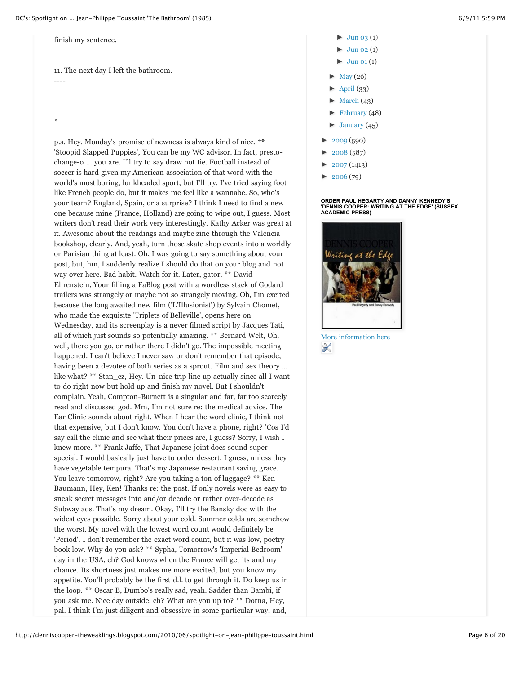finish my sentence.

11. The next day I left the bathroom. ----

\*

p.s. Hey. Monday's promise of newness is always kind of nice. \*\* 'Stoopid Slapped Puppies', You can be my WC advisor. In fact, prestochange-o ... you are. I'll try to say draw not tie. Football instead of soccer is hard given my American association of that word with the world's most boring, lunkheaded sport, but I'll try. I've tried saying foot like French people do, but it makes me feel like a wannabe. So, who's your team? England, Spain, or a surprise? I think I need to find a new one because mine (France, Holland) are going to wipe out, I guess. Most writers don't read their work very interestingly. Kathy Acker was great at it. Awesome about the readings and maybe zine through the Valencia bookshop, clearly. And, yeah, turn those skate shop events into a worldly or Parisian thing at least. Oh, I was going to say something about your post, but, hm, I suddenly realize I should do that on your blog and not way over here. Bad habit. Watch for it. Later, gator. \*\* David Ehrenstein, Your filling a FaBlog post with a wordless stack of Godard trailers was strangely or maybe not so strangely moving. Oh, I'm excited because the long awaited new film ('L'Illusionist') by Sylvain Chomet, who made the exquisite 'Triplets of Belleville', opens here on Wednesday, and its screenplay is a never filmed script by Jacques Tati, all of which just sounds so potentially amazing. \*\* Bernard Welt, Oh, well, there you go, or rather there I didn't go. The impossible meeting happened. I can't believe I never saw or don't remember that episode, having been a devotee of both series as a sprout. Film and sex theory ... like what? \*\* Stan\_cz, Hey. Un-nice trip line up actually since all I want to do right now but hold up and finish my novel. But I shouldn't complain. Yeah, Compton-Burnett is a singular and far, far too scarcely read and discussed god. Mm, I'm not sure re: the medical advice. The Ear Clinic sounds about right. When I hear the word clinic, I think not that expensive, but I don't know. You don't have a phone, right? 'Cos I'd say call the clinic and see what their prices are, I guess? Sorry, I wish I knew more. \*\* Frank Jaffe, That Japanese joint does sound super special. I would basically just have to order dessert, I guess, unless they have vegetable tempura. That's my Japanese restaurant saving grace. You leave tomorrow, right? Are you taking a ton of luggage? \*\* Ken Baumann, Hey, Ken! Thanks re: the post. If only novels were as easy to sneak secret messages into and/or decode or rather over-decode as Subway ads. That's my dream. Okay, I'll try the Bansky doc with the widest eyes possible. Sorry about your cold. Summer colds are somehow the worst. My novel with the lowest word count would definitely be 'Period'. I don't remember the exact word count, but it was low, poetry book low. Why do you ask? \*\* Sypha, Tomorrow's 'Imperial Bedroom' day in the USA, eh? God knows when the France will get its and my chance. Its shortness just makes me more excited, but you know my appetite. You'll probably be the first d.l. to get through it. Do keep us in the loop. \*\* Oscar B, Dumbo's really sad, yeah. Sadder than Bambi, if you ask me. Nice day outside, eh? What are you up to? \*\* Dorna, Hey, pal. I think I'm just diligent and obsessive in some particular way, and,

- [►](javascript:void(0)) [Jun 03](http://denniscooper-theweaklings.blogspot.com/2010_06_03_archive.html) (1)
- $Jun 02 (1)$  $Jun 02 (1)$
- $\blacktriangleright$  [Jun 01](http://denniscooper-theweaklings.blogspot.com/2010_06_01_archive.html) (1)
- $May (26)$  $May (26)$
- [►](javascript:void(0)) [April](http://denniscooper-theweaklings.blogspot.com/search?updated-min=2010-04-01T00%3A00%3A00-07%3A00&updated-max=2010-05-01T00%3A00%3A00-07%3A00&max-results=33) (33)
- [March](http://denniscooper-theweaklings.blogspot.com/search?updated-min=2010-03-01T00%3A00%3A00-08%3A00&updated-max=2010-04-01T00%3A00%3A00-07%3A00&max-results=43)  $(43)$
- [►](javascript:void(0)) [February](http://denniscooper-theweaklings.blogspot.com/search?updated-min=2010-02-01T00%3A00%3A00-08%3A00&updated-max=2010-03-01T00%3A00%3A00-08%3A00&max-results=48) (48)
- [►](javascript:void(0)) [January](http://denniscooper-theweaklings.blogspot.com/search?updated-min=2010-01-01T00%3A00%3A00-08%3A00&updated-max=2010-02-01T00%3A00%3A00-08%3A00&max-results=45) (45)
- $\blacktriangleright$  [2009](http://denniscooper-theweaklings.blogspot.com/search?updated-min=2009-01-01T00%3A00%3A00-08%3A00&updated-max=2010-01-01T00%3A00%3A00-08%3A00&max-results=50) (590)
- [►](javascript:void(0)) [2008](http://denniscooper-theweaklings.blogspot.com/search?updated-min=2008-01-01T00%3A00%3A00-08%3A00&updated-max=2009-01-01T00%3A00%3A00-08%3A00&max-results=50) (587)
- [►](javascript:void(0)) [2007](http://denniscooper-theweaklings.blogspot.com/search?updated-min=2007-01-01T00%3A00%3A00-08%3A00&updated-max=2008-01-01T00%3A00%3A00-08%3A00&max-results=50) (1413)
- [►](javascript:void(0)) [2006](http://denniscooper-theweaklings.blogspot.com/search?updated-min=2006-01-01T00%3A00%3A00-08%3A00&updated-max=2007-01-01T00%3A00%3A00-08%3A00&max-results=50) (79)

# **ORDER PAUL HEGARTY AND DANNY KENNEDY'S 'DENNIS COOPER: WRITING AT THE EDGE' (SUSSEX ACADEMIC PRESS)**



[More information here](http://www.amazon.co.uk/Dennis-Cooper-Writing-at-Edge/dp/1845191870) ℁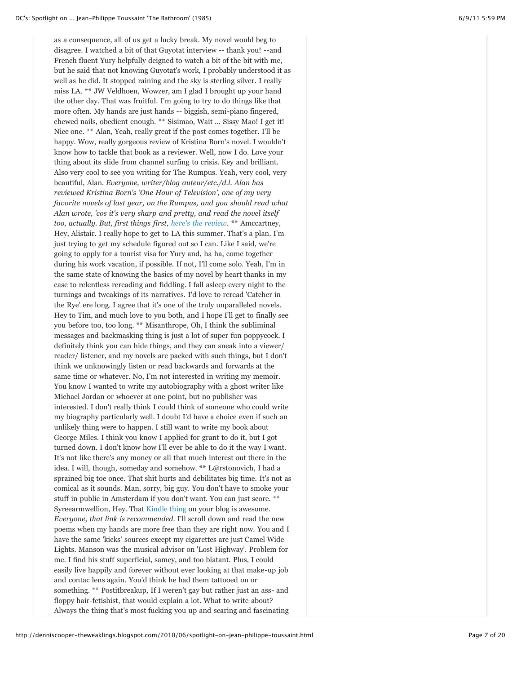as a consequence, all of us get a lucky break. My novel would beg to disagree. I watched a bit of that Guyotat interview -- thank you! --and French fluent Yury helpfully deigned to watch a bit of the bit with me, but he said that not knowing Guyotat's work, I probably understood it as well as he did. It stopped raining and the sky is sterling silver. I really miss LA. \*\* JW Veldhoen, Wowzer, am I glad I brought up your hand the other day. That was fruitful. I'm going to try to do things like that more often. My hands are just hands -- biggish, semi-piano fingered, chewed nails, obedient enough. \*\* Sisimao, Wait ... Sissy Mao! I get it! Nice one. \*\* Alan, Yeah, really great if the post comes together. I'll be happy. Wow, really gorgeous review of Kristina Born's novel. I wouldn't know how to tackle that book as a reviewer. Well, now I do. Love your thing about its slide from channel surfing to crisis. Key and brilliant. Also very cool to see you writing for The Rumpus. Yeah, very cool, very beautiful, Alan. *Everyone, writer/blog auteur/etc./d.l. Alan has reviewed Kristina Born's 'One Hour of Television', one of my very favorite novels of last year, on the Rumpus, and you should read what Alan wrote, 'cos it's very sharp and pretty, and read the novel itself too, actually. But, first things first, [here's the review.](http://therumpus.net/2010/06/alan-horn-the-last-book-i-loved-one-hour-of-television/)* \*\* Amccartney, Hey, Alistair. I really hope to get to LA this summer. That's a plan. I'm just trying to get my schedule figured out so I can. Like I said, we're going to apply for a tourist visa for Yury and, ha ha, come together during his work vacation, if possible. If not, I'll come solo. Yeah, I'm in the same state of knowing the basics of my novel by heart thanks in my case to relentless rereading and fiddling. I fall asleep every night to the turnings and tweakings of its narratives. I'd love to reread 'Catcher in the Rye' ere long. I agree that it's one of the truly unparalleled novels. Hey to Tim, and much love to you both, and I hope I'll get to finally see you before too, too long. \*\* Misanthrope, Oh, I think the subliminal messages and backmasking thing is just a lot of super fun poppycock. I definitely think you can hide things, and they can sneak into a viewer/ reader/ listener, and my novels are packed with such things, but I don't think we unknowingly listen or read backwards and forwards at the same time or whatever. No, I'm not interested in writing my memoir. You know I wanted to write my autobiography with a ghost writer like Michael Jordan or whoever at one point, but no publisher was interested. I don't really think I could think of someone who could write my biography particularly well. I doubt I'd have a choice even if such an unlikely thing were to happen. I still want to write my book about George Miles. I think you know I applied for grant to do it, but I got turned down. I don't know how I'll ever be able to do it the way I want. It's not like there's any money or all that much interest out there in the idea. I will, though, someday and somehow. \*\* L@rstonovich, I had a sprained big toe once. That shit hurts and debilitates big time. It's not as comical as it sounds. Man, sorry, big guy. You don't have to smoke your stuff in public in Amsterdam if you don't want. You can just score. \*\* Syreearmwellion, Hey. That [Kindle thing](http://nonesuchspaceamonster.blogspot.com/) on your blog is awesome. *Everyone, that link is recommended.* I'll scroll down and read the new poems when my hands are more free than they are right now. You and I have the same 'kicks' sources except my cigarettes are just Camel Wide Lights. Manson was the musical advisor on 'Lost Highway'. Problem for me. I find his stuff superficial, samey, and too blatant. Plus, I could easily live happily and forever without ever looking at that make-up job and contac lens again. You'd think he had them tattooed on or something. \*\* Postitbreakup, If I weren't gay but rather just an ass- and floppy hair-fetishist, that would explain a lot. What to write about? Always the thing that's most fucking you up and scaring and fascinating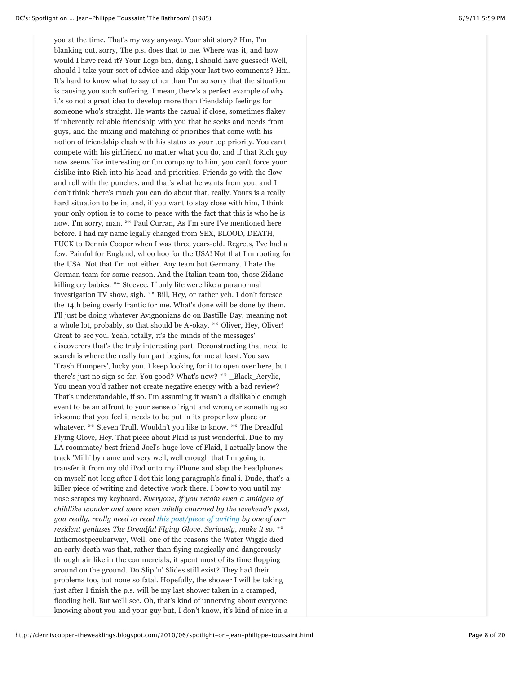you at the time. That's my way anyway. Your shit story? Hm, I'm blanking out, sorry, The p.s. does that to me. Where was it, and how would I have read it? Your Lego bin, dang, I should have guessed! Well, should I take your sort of advice and skip your last two comments? Hm. It's hard to know what to say other than I'm so sorry that the situation is causing you such suffering. I mean, there's a perfect example of why it's so not a great idea to develop more than friendship feelings for someone who's straight. He wants the casual if close, sometimes flakey if inherently reliable friendship with you that he seeks and needs from guys, and the mixing and matching of priorities that come with his notion of friendship clash with his status as your top priority. You can't compete with his girlfriend no matter what you do, and if that Rich guy now seems like interesting or fun company to him, you can't force your dislike into Rich into his head and priorities. Friends go with the flow and roll with the punches, and that's what he wants from you, and I don't think there's much you can do about that, really. Yours is a really hard situation to be in, and, if you want to stay close with him, I think your only option is to come to peace with the fact that this is who he is now. I'm sorry, man. \*\* Paul Curran, As I'm sure I've mentioned here before. I had my name legally changed from SEX, BLOOD, DEATH, FUCK to Dennis Cooper when I was three years-old. Regrets, I've had a few. Painful for England, whoo hoo for the USA! Not that I'm rooting for the USA. Not that I'm not either. Any team but Germany. I hate the German team for some reason. And the Italian team too, those Zidane killing cry babies. \*\* Steevee, If only life were like a paranormal investigation TV show, sigh. \*\* Bill, Hey, or rather yeh. I don't foresee the 14th being overly frantic for me. What's done will be done by them. I'll just be doing whatever Avignonians do on Bastille Day, meaning not a whole lot, probably, so that should be A-okay. \*\* Oliver, Hey, Oliver! Great to see you. Yeah, totally, it's the minds of the messages' discoverers that's the truly interesting part. Deconstructing that need to search is where the really fun part begins, for me at least. You saw 'Trash Humpers', lucky you. I keep looking for it to open over here, but there's just no sign so far. You good? What's new? \*\* \_Black\_Acrylic, You mean you'd rather not create negative energy with a bad review? That's understandable, if so. I'm assuming it wasn't a dislikable enough event to be an affront to your sense of right and wrong or something so irksome that you feel it needs to be put in its proper low place or whatever. \*\* Steven Trull, Wouldn't you like to know. \*\* The Dreadful Flying Glove, Hey. That piece about Plaid is just wonderful. Due to my LA roommate/ best friend Joel's huge love of Plaid, I actually know the track 'Milh' by name and very well, well enough that I'm going to transfer it from my old iPod onto my iPhone and slap the headphones on myself not long after I dot this long paragraph's final i. Dude, that's a killer piece of writing and detective work there. I bow to you until my nose scrapes my keyboard. *Everyone, if you retain even a smidgen of childlike wonder and were even mildly charmed by the weekend's post, you really, really need to read [this post/piece of writing](http://dfglove.wordpress.com/2010/06/13/questions-that-keep-me-awake-at-night-part-284-whats-going-on-at-the-end-of-milh/) by one of our resident geniuses The Dreadful Flying Glove. Seriously, make it so.* \*\* Inthemostpeculiarway, Well, one of the reasons the Water Wiggle died an early death was that, rather than flying magically and dangerously through air like in the commercials, it spent most of its time flopping around on the ground. Do Slip 'n' Slides still exist? They had their problems too, but none so fatal. Hopefully, the shower I will be taking just after I finish the p.s. will be my last shower taken in a cramped, flooding hell. But we'll see. Oh, that's kind of unnerving about everyone knowing about you and your guy but, I don't know, it's kind of nice in a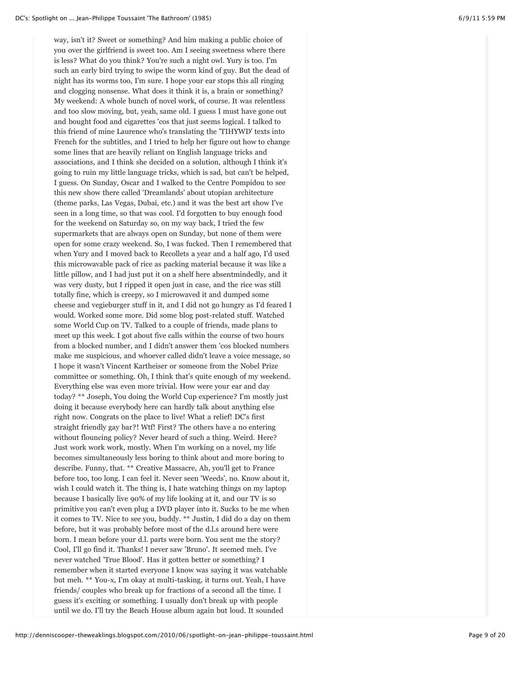way, isn't it? Sweet or something? And him making a public choice of you over the girlfriend is sweet too. Am I seeing sweetness where there is less? What do you think? You're such a night owl. Yury is too. I'm such an early bird trying to swipe the worm kind of guy. But the dead of night has its worms too, I'm sure. I hope your ear stops this all ringing and clogging nonsense. What does it think it is, a brain or something? My weekend: A whole bunch of novel work, of course. It was relentless and too slow moving, but, yeah, same old. I guess I must have gone out and bought food and cigarettes 'cos that just seems logical. I talked to this friend of mine Laurence who's translating the 'TIHYWD' texts into French for the subtitles, and I tried to help her figure out how to change some lines that are heavily reliant on English language tricks and associations, and I think she decided on a solution, although I think it's going to ruin my little language tricks, which is sad, but can't be helped, I guess. On Sunday, Oscar and I walked to the Centre Pompidou to see this new show there called 'Dreamlands' about utopian architecture (theme parks, Las Vegas, Dubai, etc.) and it was the best art show I've seen in a long time, so that was cool. I'd forgotten to buy enough food for the weekend on Saturday so, on my way back, I tried the few supermarkets that are always open on Sunday, but none of them were open for some crazy weekend. So, I was fucked. Then I remembered that when Yury and I moved back to Recollets a year and a half ago, I'd used this microwavable pack of rice as packing material because it was like a little pillow, and I had just put it on a shelf here absentmindedly, and it was very dusty, but I ripped it open just in case, and the rice was still totally fine, which is creepy, so I microwaved it and dumped some cheese and vegieburger stuff in it, and I did not go hungry as I'd feared I would. Worked some more. Did some blog post-related stuff. Watched some World Cup on TV. Talked to a couple of friends, made plans to meet up this week. I got about five calls within the course of two hours from a blocked number, and I didn't answer them 'cos blocked numbers make me suspicious, and whoever called didn't leave a voice message, so I hope it wasn't Vincent Kartheiser or someone from the Nobel Prize committee or something. Oh, I think that's quite enough of my weekend. Everything else was even more trivial. How were your ear and day today? \*\* Joseph, You doing the World Cup experience? I'm mostly just doing it because everybody here can hardly talk about anything else right now. Congrats on the place to live! What a relief! DC's first straight friendly gay bar?! Wtf! First? The others have a no entering without flouncing policy? Never heard of such a thing. Weird. Here? Just work work work, mostly. When I'm working on a novel, my life becomes simultaneously less boring to think about and more boring to describe. Funny, that. \*\* Creative Massacre, Ah, you'll get to France before too, too long. I can feel it. Never seen 'Weeds', no. Know about it, wish I could watch it. The thing is, I hate watching things on my laptop because I basically live 90% of my life looking at it, and our TV is so primitive you can't even plug a DVD player into it. Sucks to be me when it comes to TV. Nice to see you, buddy. \*\* Justin, I did do a day on them before, but it was probably before most of the d.l.s around here were born. I mean before your d.l. parts were born. You sent me the story? Cool, I'll go find it. Thanks! I never saw 'Bruno'. It seemed meh. I've never watched 'True Blood'. Has it gotten better or something? I remember when it started everyone I know was saying it was watchable but meh. \*\* You-x, I'm okay at multi-tasking, it turns out. Yeah, I have friends/ couples who break up for fractions of a second all the time. I guess it's exciting or something. I usually don't break up with people until we do. I'll try the Beach House album again but loud. It sounded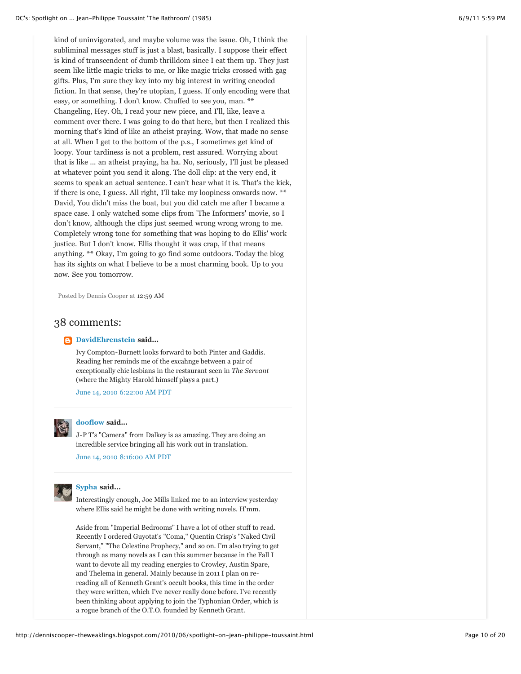kind of uninvigorated, and maybe volume was the issue. Oh, I think the subliminal messages stuff is just a blast, basically. I suppose their effect is kind of transcendent of dumb thrilldom since I eat them up. They just seem like little magic tricks to me, or like magic tricks crossed with gag gifts. Plus, I'm sure they key into my big interest in writing encoded fiction. In that sense, they're utopian, I guess. If only encoding were that easy, or something. I don't know. Chuffed to see you, man. \*\* Changeling, Hey. Oh, I read your new piece, and I'll, like, leave a comment over there. I was going to do that here, but then I realized this morning that's kind of like an atheist praying. Wow, that made no sense at all. When I get to the bottom of the p.s., I sometimes get kind of loopy. Your tardiness is not a problem, rest assured. Worrying about that is like ... an atheist praying, ha ha. No, seriously, I'll just be pleased at whatever point you send it along. The doll clip: at the very end, it seems to speak an actual sentence. I can't hear what it is. That's the kick, if there is one, I guess. All right, I'll take my loopiness onwards now. \*\* David, You didn't miss the boat, but you did catch me after I became a space case. I only watched some clips from 'The Informers' movie, so I don't know, although the clips just seemed wrong wrong wrong to me. Completely wrong tone for something that was hoping to do Ellis' work justice. But I don't know. Ellis thought it was crap, if that means anything. \*\* Okay, I'm going to go find some outdoors. Today the blog has its sights on what I believe to be a most charming book. Up to you now. See you tomorrow.

Posted by Dennis Cooper at [12:59 AM](http://denniscooper-theweaklings.blogspot.com/2010/06/spotlight-on-jean-philippe-toussaint.html)

# 38 comments:

# **[DavidEhrenstein](http://www.blogger.com/profile/11016905507543736049) said...**

Ivy Compton-Burnett looks forward to both Pinter and Gaddis. Reading her reminds me of the excahnge between a pair of exceptionally chic lesbians in the restaurant scen in *The Servant* (where the Mighty Harold himself plays a part.)

[June 14, 2010 6:22:00 AM PDT](http://denniscooper-theweaklings.blogspot.com/2010/06/spotlight-on-jean-philippe-toussaint.html?showComment=1276521767160#c8411941389448636041)

# **[dooflow](http://www.blogger.com/profile/07782570508654139325) said...**

J-P T's "Camera" from Dalkey is as amazing. They are doing an incredible service bringing all his work out in translation.

[June 14, 2010 8:16:00 AM PDT](http://denniscooper-theweaklings.blogspot.com/2010/06/spotlight-on-jean-philippe-toussaint.html?showComment=1276528611520#c6069638692343548411)



# **[Sypha](http://www.blogger.com/profile/12740936248484380103) said...**

Interestingly enough, Joe Mills linked me to an interview yesterday where Ellis said he might be done with writing novels. H'mm.

Aside from "Imperial Bedrooms" I have a lot of other stuff to read. Recently I ordered Guyotat's "Coma," Quentin Crisp's "Naked Civil Servant," "The Celestine Prophecy," and so on. I'm also trying to get through as many novels as I can this summer because in the Fall I want to devote all my reading energies to Crowley, Austin Spare, and Thelema in general. Mainly because in 2011 I plan on rereading all of Kenneth Grant's occult books, this time in the order they were written, which I've never really done before. I've recently been thinking about applying to join the Typhonian Order, which is a rogue branch of the O.T.O. founded by Kenneth Grant.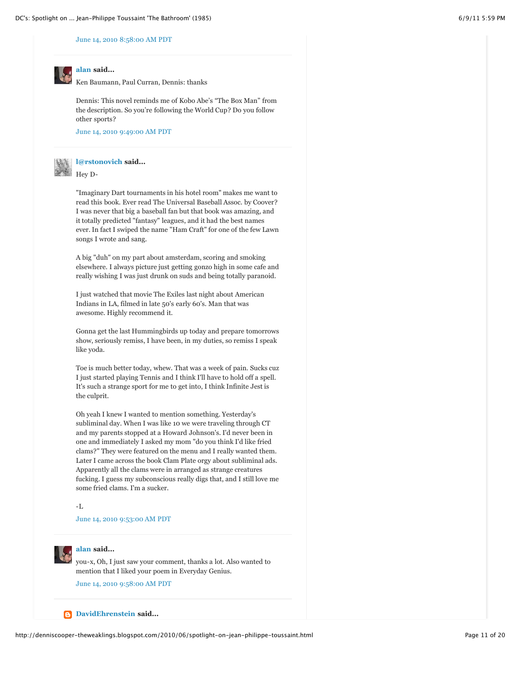**[alan](http://www.blogger.com/profile/01632194524998378578) said...**

# [June 14, 2010 8:58:00 AM PDT](http://denniscooper-theweaklings.blogspot.com/2010/06/spotlight-on-jean-philippe-toussaint.html?showComment=1276531112465#c6813847513228146870)

Ken Baumann, Paul Curran, Dennis: thanks

Dennis: This novel reminds me of Kobo Abe's "The Box Man" from the description. So you're following the World Cup? Do you follow other sports?

[June 14, 2010 9:49:00 AM PDT](http://denniscooper-theweaklings.blogspot.com/2010/06/spotlight-on-jean-philippe-toussaint.html?showComment=1276534148551#c4069518095696923650)



**[l@rstonovich](http://www.blogger.com/profile/09956207847950425541) said...** Hey D-

"Imaginary Dart tournaments in his hotel room" makes me want to read this book. Ever read The Universal Baseball Assoc. by Coover? I was never that big a baseball fan but that book was amazing, and it totally predicted "fantasy" leagues, and it had the best names ever. In fact I swiped the name "Ham Craft" for one of the few Lawn songs I wrote and sang.

A big "duh" on my part about amsterdam, scoring and smoking elsewhere. I always picture just getting gonzo high in some cafe and really wishing I was just drunk on suds and being totally paranoid.

I just watched that movie The Exiles last night about American Indians in LA, filmed in late 50's early 60's. Man that was awesome. Highly recommend it.

Gonna get the last Hummingbirds up today and prepare tomorrows show, seriously remiss, I have been, in my duties, so remiss I speak like yoda.

Toe is much better today, whew. That was a week of pain. Sucks cuz I just started playing Tennis and I think I'll have to hold off a spell. It's such a strange sport for me to get into, I think Infinite Jest is the culprit.

Oh yeah I knew I wanted to mention something. Yesterday's subliminal day. When I was like 10 we were traveling through CT and my parents stopped at a Howard Johnson's. I'd never been in one and immediately I asked my mom "do you think I'd like fried clams?" They were featured on the menu and I really wanted them. Later I came across the book Clam Plate orgy about subliminal ads. Apparently all the clams were in arranged as strange creatures fucking. I guess my subconscious really digs that, and I still love me some fried clams. I'm a sucker.

-L

[June 14, 2010 9:53:00 AM PDT](http://denniscooper-theweaklings.blogspot.com/2010/06/spotlight-on-jean-philippe-toussaint.html?showComment=1276534416416#c8029897092098036043)



# **[alan](http://www.blogger.com/profile/01632194524998378578) said...**

you-x, Oh, I just saw your comment, thanks a lot. Also wanted to mention that I liked your poem in Everyday Genius. [June 14, 2010 9:58:00 AM PDT](http://denniscooper-theweaklings.blogspot.com/2010/06/spotlight-on-jean-philippe-toussaint.html?showComment=1276534722512#c756544949675999575)

**[DavidEhrenstein](http://www.blogger.com/profile/11016905507543736049) said...**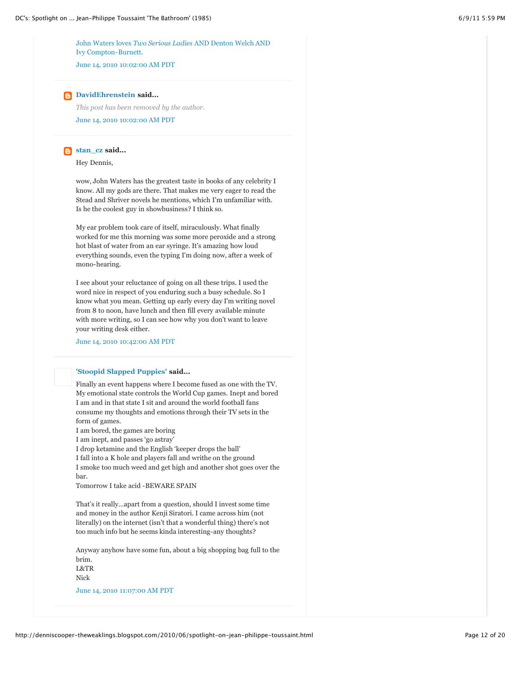John Waters loves *Two Serious Ladies* [AND Denton Welch AND](http://www.usatoday.com/life/books/news/2010-06-10-buzzplus10_ST_N.htm) Ivy Compton-Burnett.

[June 14, 2010 10:02:00 AM PDT](http://denniscooper-theweaklings.blogspot.com/2010/06/spotlight-on-jean-philippe-toussaint.html?showComment=1276534960569#c1036308923145079927)

# **[DavidEhrenstein](http://www.blogger.com/profile/11016905507543736049) said...**

[June 14, 2010 10:02:00 AM PDT](http://denniscooper-theweaklings.blogspot.com/2010/06/spotlight-on-jean-philippe-toussaint.html?showComment=1276534960570#c627448733394361152) *This post has been removed by the author.*

# **[stan\\_cz](http://www.blogger.com/profile/09329502419398560399) said...**

Hey Dennis,

wow, John Waters has the greatest taste in books of any celebrity I know. All my gods are there. That makes me very eager to read the Stead and Shriver novels he mentions, which I'm unfamiliar with. Is he the coolest guy in showbusiness? I think so.

My ear problem took care of itself, miraculously. What finally worked for me this morning was some more peroxide and a strong hot blast of water from an ear syringe. It's amazing how loud everything sounds, even the typing I'm doing now, after a week of mono-hearing.

I see about your reluctance of going on all these trips. I used the word nice in respect of you enduring such a busy schedule. So I know what you mean. Getting up early every day I'm writing novel from 8 to noon, have lunch and then fill every available minute with more writing, so I can see how why you don't want to leave your writing desk either.

[June 14, 2010 10:42:00 AM PDT](http://denniscooper-theweaklings.blogspot.com/2010/06/spotlight-on-jean-philippe-toussaint.html?showComment=1276537330434#c6848253343582327766)

# **['Stoopid Slapped Puppies'](http://www.blogger.com/profile/09108804439161646380) said...**

Finally an event happens where I become fused as one with the TV. My emotional state controls the World Cup games. Inept and bored I am and in that state I sit and around the world football fans consume my thoughts and emotions through their TV sets in the form of games.

I am bored, the games are boring

I am inept, and passes 'go astray'

I drop ketamine and the English 'keeper drops the ball'

I fall into a K hole and players fall and writhe on the ground

I smoke too much weed and get high and another shot goes over the bar.

Tomorrow I take acid -BEWARE SPAIN

That's it really…apart from a question, should I invest some time and money in the author Kenji Siratori. I came across him (not literally) on the internet (isn't that a wonderful thing) there's not too much info but he seems kinda interesting-any thoughts?

Anyway anyhow have some fun, about a big shopping bag full to the brim. L&TR

Nick

[June 14, 2010 11:07:00 AM PDT](http://denniscooper-theweaklings.blogspot.com/2010/06/spotlight-on-jean-philippe-toussaint.html?showComment=1276538845938#c5960377594789290569)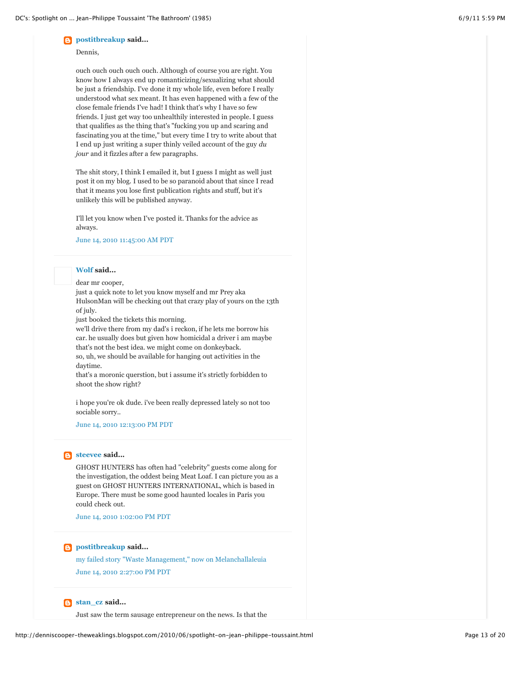# **[postitbreakup](http://www.blogger.com/profile/07526433080083395149)** said...

# Dennis,

ouch ouch ouch ouch ouch. Although of course you are right. You know how I always end up romanticizing/sexualizing what should be just a friendship. I've done it my whole life, even before I really understood what sex meant. It has even happened with a few of the close female friends I've had! I think that's why I have so few friends. I just get way too unhealthily interested in people. I guess that qualifies as the thing that's "fucking you up and scaring and fascinating you at the time," but every time I try to write about that I end up just writing a super thinly veiled account of the guy *du jour* and it fizzles after a few paragraphs.

The shit story, I think I emailed it, but I guess I might as well just post it on my blog. I used to be so paranoid about that since I read that it means you lose first publication rights and stuff, but it's unlikely this will be published anyway.

I'll let you know when I've posted it. Thanks for the advice as always.

# [June 14, 2010 11:45:00 AM PDT](http://denniscooper-theweaklings.blogspot.com/2010/06/spotlight-on-jean-philippe-toussaint.html?showComment=1276541138152#c2033790545338069570)

# **[Wolf](http://www.blogger.com/profile/01137509862247953825) said...**

dear mr cooper,

just a quick note to let you know myself and mr Prey aka HulsonMan will be checking out that crazy play of yours on the 13th of july.

just booked the tickets this morning.

we'll drive there from my dad's i reckon, if he lets me borrow his car. he usually does but given how homicidal a driver i am maybe that's not the best idea. we might come on donkeyback.

so, uh, we should be available for hanging out activities in the daytime.

that's a moronic querstion, but i assume it's strictly forbidden to shoot the show right?

i hope you're ok dude. i've been really depressed lately so not too sociable sorry..

[June 14, 2010 12:13:00 PM PDT](http://denniscooper-theweaklings.blogspot.com/2010/06/spotlight-on-jean-philippe-toussaint.html?showComment=1276542830780#c2679911745843624921)

# **[steevee](http://www.blogger.com/profile/11237556280482897025) said...**

GHOST HUNTERS has often had "celebrity" guests come along for the investigation, the oddest being Meat Loaf. I can picture you as a guest on GHOST HUNTERS INTERNATIONAL, which is based in Europe. There must be some good haunted locales in Paris you could check out.

[June 14, 2010 1:02:00 PM PDT](http://denniscooper-theweaklings.blogspot.com/2010/06/spotlight-on-jean-philippe-toussaint.html?showComment=1276545760783#c1648273799610968996)

# **[postitbreakup](http://www.blogger.com/profile/07526433080083395149) said...**

[my failed story "Waste Management," now on Melanchallaleuia](http://postitbreakup.blogspot.com/2010/06/story.html) [June 14, 2010 2:27:00 PM PDT](http://denniscooper-theweaklings.blogspot.com/2010/06/spotlight-on-jean-philippe-toussaint.html?showComment=1276550851859#c2338715014794630047)

# **[stan\\_cz](http://www.blogger.com/profile/09329502419398560399) said...**

Just saw the term sausage entrepreneur on the news. Is that the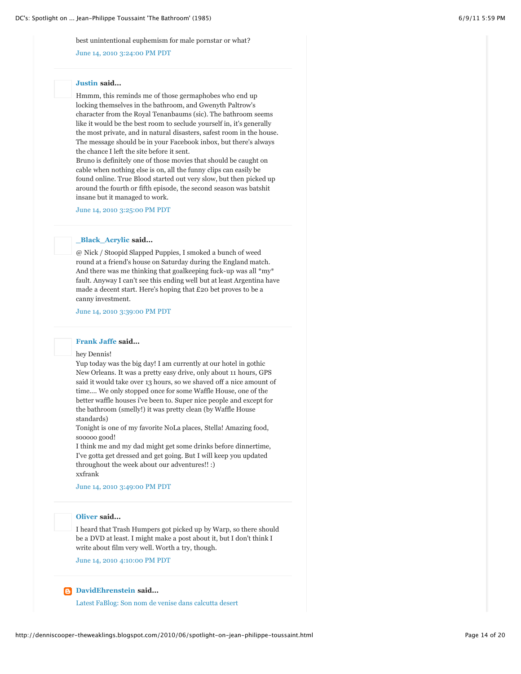best unintentional euphemism for male pornstar or what?

[June 14, 2010 3:24:00 PM PDT](http://denniscooper-theweaklings.blogspot.com/2010/06/spotlight-on-jean-philippe-toussaint.html?showComment=1276554296687#c4881750518858283817)

# **[Justin](http://www.blogger.com/profile/18018266232118127861) said...**

Hmmm, this reminds me of those germaphobes who end up locking themselves in the bathroom, and Gwenyth Paltrow's character from the Royal Tenanbaums (sic). The bathroom seems like it would be the best room to seclude yourself in, it's generally the most private, and in natural disasters, safest room in the house. The message should be in your Facebook inbox, but there's always the chance I left the site before it sent.

Bruno is definitely one of those movies that should be caught on cable when nothing else is on, all the funny clips can easily be found online. True Blood started out very slow, but then picked up around the fourth or fifth episode, the second season was batshit insane but it managed to work.

[June 14, 2010 3:25:00 PM PDT](http://denniscooper-theweaklings.blogspot.com/2010/06/spotlight-on-jean-philippe-toussaint.html?showComment=1276554350184#c2356237989535047202)

# **[\\_Black\\_Acrylic](http://www.blogger.com/profile/01137482556870612454) said...**

@ Nick / Stoopid Slapped Puppies, I smoked a bunch of weed round at a friend's house on Saturday during the England match. And there was me thinking that goalkeeping fuck-up was all \*my\* fault. Anyway I can't see this ending well but at least Argentina have made a decent start. Here's hoping that £20 bet proves to be a canny investment.

[June 14, 2010 3:39:00 PM PDT](http://denniscooper-theweaklings.blogspot.com/2010/06/spotlight-on-jean-philippe-toussaint.html?showComment=1276555185733#c168171739777037086)

# **[Frank Jaffe](http://www.blogger.com/profile/04772286227109853780) said...**

hey Dennis!

Yup today was the big day! I am currently at our hotel in gothic New Orleans. It was a pretty easy drive, only about 11 hours, GPS said it would take over 13 hours, so we shaved off a nice amount of time.... We only stopped once for some Waffle House, one of the better waffle houses i've been to. Super nice people and except for the bathroom (smelly!) it was pretty clean (by Waffle House standards)

Tonight is one of my favorite NoLa places, Stella! Amazing food, sooooo good!

I think me and my dad might get some drinks before dinnertime, I've gotta get dressed and get going. But I will keep you updated throughout the week about our adventures!! :) xxfrank

# [June 14, 2010 3:49:00 PM PDT](http://denniscooper-theweaklings.blogspot.com/2010/06/spotlight-on-jean-philippe-toussaint.html?showComment=1276555785842#c1163060765453416153)

# **[Oliver](http://www.blogger.com/profile/00443820229752602624) said...**

I heard that Trash Humpers got picked up by Warp, so there should be a DVD at least. I might make a post about it, but I don't think I write about film very well. Worth a try, though.

[June 14, 2010 4:10:00 PM PDT](http://denniscooper-theweaklings.blogspot.com/2010/06/spotlight-on-jean-philippe-toussaint.html?showComment=1276557016597#c7867956742837185529)

# **[DavidEhrenstein](http://www.blogger.com/profile/11016905507543736049) said...**

[Latest FaBlog: Son nom de venise dans calcutta desert](http://fablog.ehrensteinland.com/2010/06/14/son-nom-de-venise-dans-calcutta-desert/)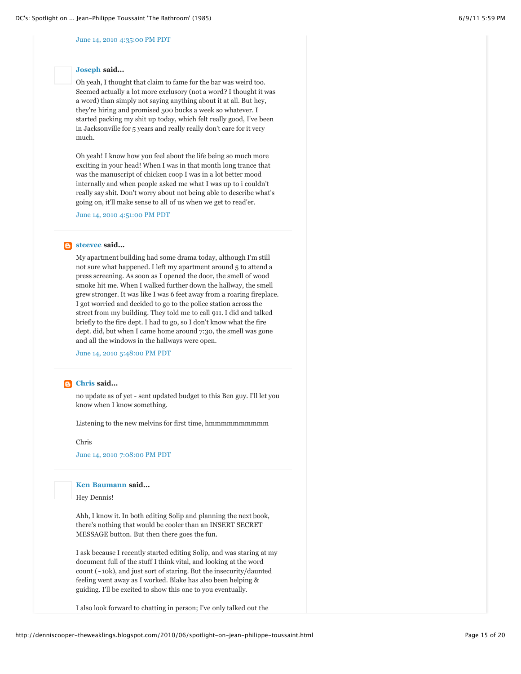# [June 14, 2010 4:35:00 PM PDT](http://denniscooper-theweaklings.blogspot.com/2010/06/spotlight-on-jean-philippe-toussaint.html?showComment=1276558559417#c3531133423285241065)

# **[Joseph](http://www.blogger.com/profile/08573548351596389926) said...**

Oh yeah, I thought that claim to fame for the bar was weird too. Seemed actually a lot more exclusory (not a word? I thought it was a word) than simply not saying anything about it at all. But hey, they're hiring and promised 500 bucks a week so whatever. I started packing my shit up today, which felt really good, I've been in Jacksonville for 5 years and really really don't care for it very much.

Oh yeah! I know how you feel about the life being so much more exciting in your head! When I was in that month long trance that was the manuscript of chicken coop I was in a lot better mood internally and when people asked me what I was up to i couldn't really say shit. Don't worry about not being able to describe what's going on, it'll make sense to all of us when we get to read'er.

[June 14, 2010 4:51:00 PM PDT](http://denniscooper-theweaklings.blogspot.com/2010/06/spotlight-on-jean-philippe-toussaint.html?showComment=1276559504287#c1216799180534145535)

# **[steevee](http://www.blogger.com/profile/11237556280482897025) said...**

My apartment building had some drama today, although I'm still not sure what happened. I left my apartment around 5 to attend a press screening. As soon as I opened the door, the smell of wood smoke hit me. When I walked further down the hallway, the smell grew stronger. It was like I was 6 feet away from a roaring fireplace. I got worried and decided to go to the police station across the street from my building. They told me to call 911. I did and talked briefly to the fire dept. I had to go, so I don't know what the fire dept. did, but when I came home around 7:30, the smell was gone and all the windows in the hallways were open.

[June 14, 2010 5:48:00 PM PDT](http://denniscooper-theweaklings.blogspot.com/2010/06/spotlight-on-jean-philippe-toussaint.html?showComment=1276562913340#c366519849717138729)

# **[Chris](http://www.blogger.com/profile/15021443509529893430) said...**

no update as of yet - sent updated budget to this Ben guy. I'll let you know when I know something.

Listening to the new melvins for first time, hmmmmmmmmmm

#### Chris

[June 14, 2010 7:08:00 PM PDT](http://denniscooper-theweaklings.blogspot.com/2010/06/spotlight-on-jean-philippe-toussaint.html?showComment=1276567687446#c6610790246382730852)

**[Ken Baumann](http://www.blogger.com/profile/12621073880755140131) said...**

Hey Dennis!

Ahh, I know it. In both editing Solip and planning the next book, there's nothing that would be cooler than an INSERT SECRET MESSAGE button. But then there goes the fun.

I ask because I recently started editing Solip, and was staring at my document full of the stuff I think vital, and looking at the word count (~10k), and just sort of staring. But the insecurity/daunted feeling went away as I worked. Blake has also been helping & guiding. I'll be excited to show this one to you eventually.

I also look forward to chatting in person; I've only talked out the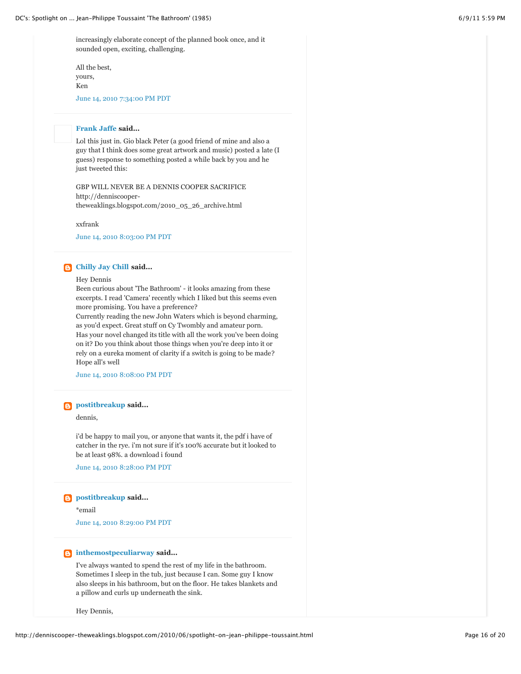increasingly elaborate concept of the planned book once, and it sounded open, exciting, challenging.

All the best, yours, Ken

[June 14, 2010 7:34:00 PM PDT](http://denniscooper-theweaklings.blogspot.com/2010/06/spotlight-on-jean-philippe-toussaint.html?showComment=1276569278384#c44537769122016407)

# **[Frank Jaffe](http://www.blogger.com/profile/04772286227109853780) said...**

Lol this just in. Gio black Peter (a good friend of mine and also a guy that I think does some great artwork and music) posted a late (I guess) response to something posted a while back by you and he just tweeted this:

GBP WILL NEVER BE A DENNIS COOPER SACRIFICE http://denniscoopertheweaklings.blogspot.com/2010\_05\_26\_archive.html

xxfrank

[June 14, 2010 8:03:00 PM PDT](http://denniscooper-theweaklings.blogspot.com/2010/06/spotlight-on-jean-philippe-toussaint.html?showComment=1276571030171#c2342273220916530414)

# **[Chilly Jay Chill](http://www.blogger.com/profile/03284766702868786451) said...**

# Hey Dennis

Been curious about 'The Bathroom' - it looks amazing from these excerpts. I read 'Camera' recently which I liked but this seems even more promising. You have a preference?

Currently reading the new John Waters which is beyond charming, as you'd expect. Great stuff on Cy Twombly and amateur porn. Has your novel changed its title with all the work you've been doing on it? Do you think about those things when you're deep into it or rely on a eureka moment of clarity if a switch is going to be made? Hope all's well

[June 14, 2010 8:08:00 PM PDT](http://denniscooper-theweaklings.blogspot.com/2010/06/spotlight-on-jean-philippe-toussaint.html?showComment=1276571326217#c6262973659232116155)

# **[postitbreakup](http://www.blogger.com/profile/07526433080083395149) said...**

dennis,

i'd be happy to mail you, or anyone that wants it, the pdf i have of catcher in the rye. i'm not sure if it's 100% accurate but it looked to be at least 98%. a download i found

[June 14, 2010 8:28:00 PM PDT](http://denniscooper-theweaklings.blogspot.com/2010/06/spotlight-on-jean-philippe-toussaint.html?showComment=1276572534213#c8964722310504416519)

# **[postitbreakup](http://www.blogger.com/profile/07526433080083395149) said...**

\*email

[June 14, 2010 8:29:00 PM PDT](http://denniscooper-theweaklings.blogspot.com/2010/06/spotlight-on-jean-philippe-toussaint.html?showComment=1276572559916#c8395277430941318253)

# **[inthemostpeculiarway](http://www.blogger.com/profile/06634992744664294257) said...**

I've always wanted to spend the rest of my life in the bathroom. Sometimes I sleep in the tub, just because I can. Some guy I know also sleeps in his bathroom, but on the floor. He takes blankets and a pillow and curls up underneath the sink.

Hey Dennis,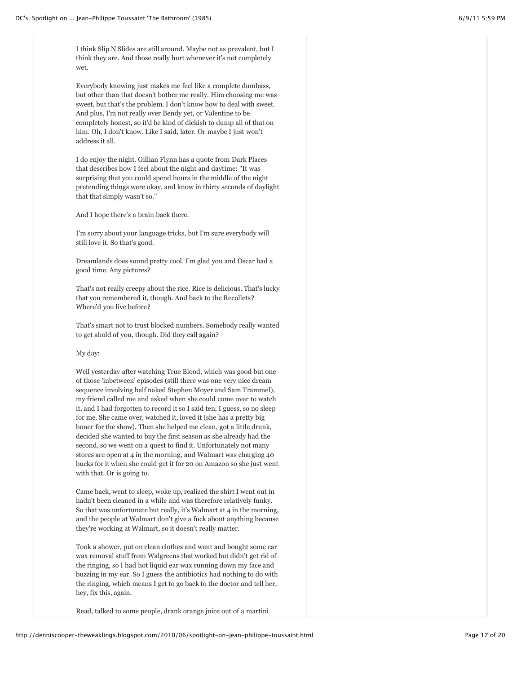I think Slip N Slides are still around. Maybe not as prevalent, but I think they are. And those really hurt whenever it's not completely wet.

Everybody knowing just makes me feel like a complete dumbass, but other than that doesn't bother me really. Him choosing me was sweet, but that's the problem. I don't know how to deal with sweet. And plus, I'm not really over Bendy yet, or Valentine to be completely honest, so it'd be kind of dickish to dump all of that on him. Oh, I don't know. Like I said, later. Or maybe I just won't address it all.

I do enjoy the night. Gillian Flynn has a quote from Dark Places that describes how I feel about the night and daytime: "It was surprising that you could spend hours in the middle of the night pretending things were okay, and know in thirty seconds of daylight that that simply wasn't so."

And I hope there's a brain back there.

I'm sorry about your language tricks, but I'm sure everybody will still love it. So that's good.

Dreamlands does sound pretty cool. I'm glad you and Oscar had a good time. Any pictures?

That's not really creepy about the rice. Rice is delicious. That's lucky that you remembered it, though. And back to the Recollets? Where'd you live before?

That's smart not to trust blocked numbers. Somebody really wanted to get ahold of you, though. Did they call again?

# My day:

Well yesterday after watching True Blood, which was good but one of those 'inbetween' episodes (still there was one very nice dream sequence involving half naked Stephen Moyer and Sam Trammel), my friend called me and asked when she could come over to watch it, and I had forgotten to record it so I said ten, I guess, so no sleep for me. She came over, watched it, loved it (she has a pretty big boner for the show). Then she helped me clean, got a little drunk, decided she wanted to buy the first season as she already had the second, so we went on a quest to find it. Unfortunately not many stores are open at 4 in the morning, and Walmart was charging 40 bucks for it when she could get it for 20 on Amazon so she just went with that. Or is going to.

Came back, went to sleep, woke up, realized the shirt I went out in hadn't been cleaned in a while and was therefore relatively funky. So that was unfortunate but really, it's Walmart at 4 in the morning, and the people at Walmart don't give a fuck about anything because they're working at Walmart, so it doesn't really matter.

Took a shower, put on clean clothes and went and bought some ear wax removal stuff from Walgreens that worked but didn't get rid of the ringing, so I had hot liquid ear wax running down my face and buzzing in my ear. So I guess the antibiotics had nothing to do with the ringing, which means I get to go back to the doctor and tell her, hey, fix this, again.

Read, talked to some people, drank orange juice out of a martini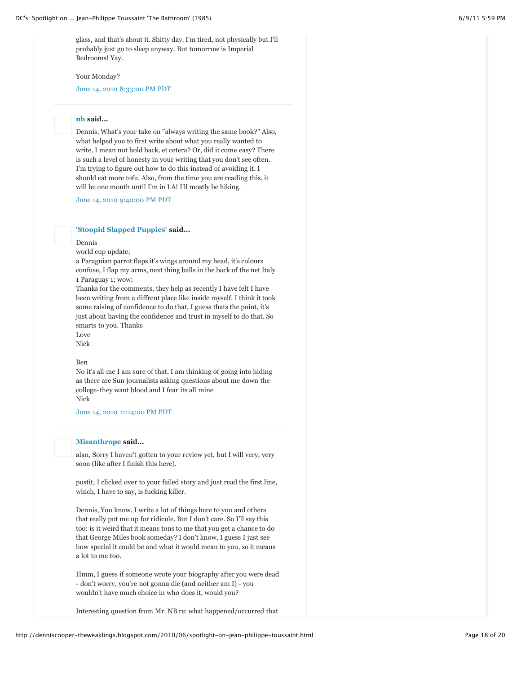Your Monday?

[June 14, 2010 8:33:00 PM PDT](http://denniscooper-theweaklings.blogspot.com/2010/06/spotlight-on-jean-philippe-toussaint.html?showComment=1276572830428#c3965209949348763964)

# **[nb](http://www.blogger.com/profile/14845560814923706140) said...**

Dennis, What's your take on "always writing the same book?" Also, what helped you to first write about what you really wanted to write, I mean not hold back, et cetera? Or, did it come easy? There is such a level of honesty in your writing that you don't see often. I'm trying to figure out how to do this instead of avoiding it. I should eat more tofu. Also, from the time you are reading this, it will be one month until I'm in LA! I'll mostly be hiking.

[June 14, 2010 9:40:00 PM PDT](http://denniscooper-theweaklings.blogspot.com/2010/06/spotlight-on-jean-philippe-toussaint.html?showComment=1276576848274#c3636333549021425370)

# **['Stoopid Slapped Puppies'](http://www.blogger.com/profile/09108804439161646380) said...**

# Dennis

world cup update;

a Paraguian parrot flaps it's wings around my head, it's colours confuse, I flap my arms, next thing balls in the back of the net Italy 1 Paraguay 1; wow;

Thanks for the comments, they help as recently I have felt I have been writing from a diffrent place like inside myself. I think it took some raising of confidence to do that, I guess thats the point, it's just about having the confidence and trust in myself to do that. So smarts to you. Thanks

# Love

Nick

# Ben

No it's all me I am sure of that, I am thinking of going into hiding as there are Sun journalists asking questions about me down the college-they want blood and I fear its all mine Nick

[June 14, 2010 11:14:00 PM PDT](http://denniscooper-theweaklings.blogspot.com/2010/06/spotlight-on-jean-philippe-toussaint.html?showComment=1276582459736#c2907991295289586744)

# **[Misanthrope](http://www.blogger.com/profile/07955171417991918452) said...**

alan, Sorry I haven't gotten to your review yet, but I will very, very soon (like after I finish this here).

postit, I clicked over to your failed story and just read the first line, which, I have to say, is fucking killer.

Dennis, You know, I write a lot of things here to you and others that really put me up for ridicule. But I don't care. So I'll say this too: is it weird that it means tons to me that you get a chance to do that George Miles book someday? I don't know, I guess I just see how special it could be and what it would mean to you, so it means a lot to me too.

Hmm, I guess if someone wrote your biography after you were dead - don't worry, you're not gonna die (and neither am I) - you wouldn't have much choice in who does it, would you?

Interesting question from Mr. NB re: what happened/occurred that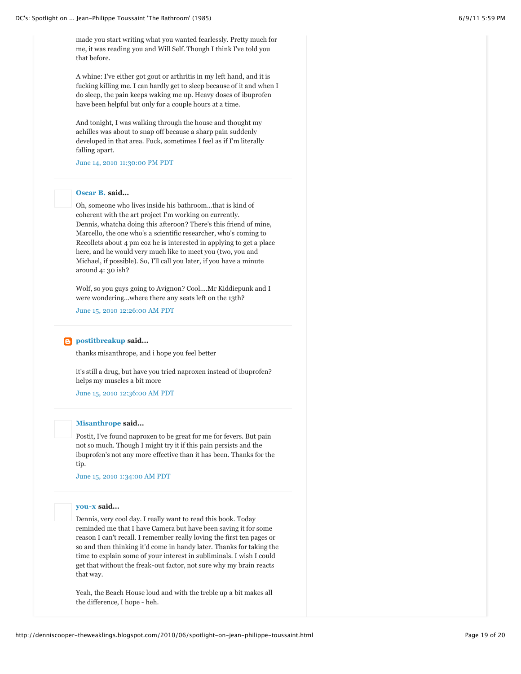made you start writing what you wanted fearlessly. Pretty much for me, it was reading you and Will Self. Though I think I've told you that before.

A whine: I've either got gout or arthritis in my left hand, and it is fucking killing me. I can hardly get to sleep because of it and when I do sleep, the pain keeps waking me up. Heavy doses of ibuprofen have been helpful but only for a couple hours at a time.

And tonight, I was walking through the house and thought my achilles was about to snap off because a sharp pain suddenly developed in that area. Fuck, sometimes I feel as if I'm literally falling apart.

[June 14, 2010 11:30:00 PM PDT](http://denniscooper-theweaklings.blogspot.com/2010/06/spotlight-on-jean-philippe-toussaint.html?showComment=1276583426991#c3198503124768156411)

# **[Oscar B.](http://www.blogger.com/profile/09631473396155935928) said...**

Oh, someone who lives inside his bathroom...that is kind of coherent with the art project I'm working on currently. Dennis, whatcha doing this afteroon? There's this friend of mine, Marcello, the one who's a scientific researcher, who's coming to Recollets about 4 pm coz he is interested in applying to get a place here, and he would very much like to meet you (two, you and Michael, if possible). So, I'll call you later, if you have a minute around 4: 30 ish?

Wolf, so you guys going to Avignon? Cool....Mr Kiddiepunk and I were wondering...where there any seats left on the 13th?

[June 15, 2010 12:26:00 AM PDT](http://denniscooper-theweaklings.blogspot.com/2010/06/spotlight-on-jean-philippe-toussaint.html?showComment=1276586785413#c4154128161801929003)

# **[postitbreakup](http://www.blogger.com/profile/07526433080083395149) said...**

thanks misanthrope, and i hope you feel better

it's still a drug, but have you tried naproxen instead of ibuprofen? helps my muscles a bit more

[June 15, 2010 12:36:00 AM PDT](http://denniscooper-theweaklings.blogspot.com/2010/06/spotlight-on-jean-philippe-toussaint.html?showComment=1276587404640#c1339358463967004044)

# **[Misanthrope](http://www.blogger.com/profile/07955171417991918452) said...**

Postit, I've found naproxen to be great for me for fevers. But pain not so much. Though I might try it if this pain persists and the ibuprofen's not any more effective than it has been. Thanks for the tip.

[June 15, 2010 1:34:00 AM PDT](http://denniscooper-theweaklings.blogspot.com/2010/06/spotlight-on-jean-philippe-toussaint.html?showComment=1276590848342#c1036761670241909967)

### **[you-x](http://www.blogger.com/profile/10412416553452945432) said...**

Dennis, very cool day. I really want to read this book. Today reminded me that I have Camera but have been saving it for some reason I can't recall. I remember really loving the first ten pages or so and then thinking it'd come in handy later. Thanks for taking the time to explain some of your interest in subliminals. I wish I could get that without the freak-out factor, not sure why my brain reacts that way.

Yeah, the Beach House loud and with the treble up a bit makes all the difference, I hope - heh.